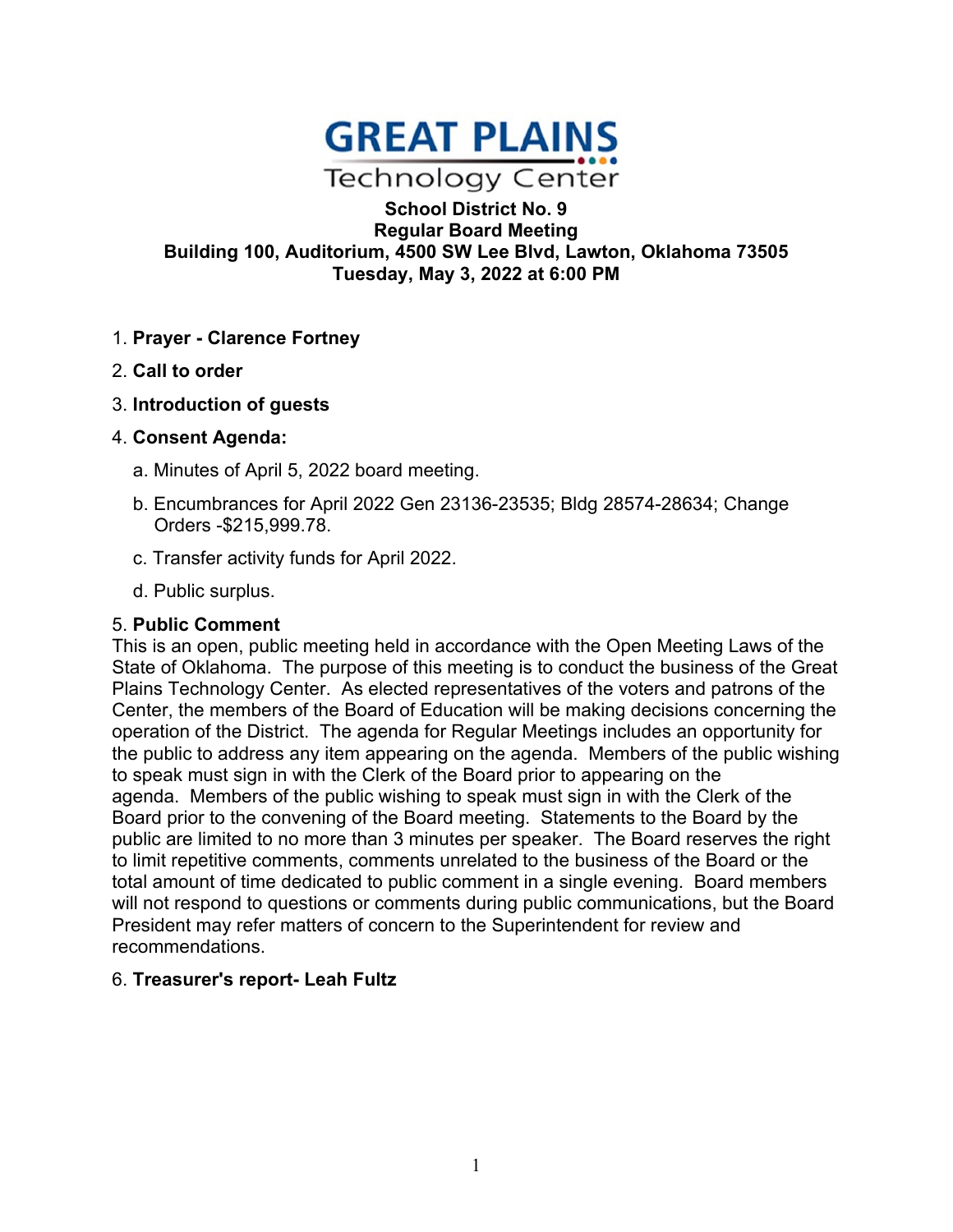

**School District No. 9 Regular Board Meeting Building 100, Auditorium, 4500 SW Lee Blvd, Lawton, Oklahoma 73505 Tuesday, May 3, 2022 at 6:00 PM** 

- 1. **Prayer Clarence Fortney**
- 2. **Call to order**
- 3. **Introduction of guests**
- 4. **Consent Agenda:**
	- a. Minutes of April 5, 2022 board meeting.
	- b. Encumbrances for April 2022 Gen 23136-23535; Bldg 28574-28634; Change Orders -\$215,999.78.
	- c. Transfer activity funds for April 2022.
	- d. Public surplus.

### 5. **Public Comment**

This is an open, public meeting held in accordance with the Open Meeting Laws of the State of Oklahoma. The purpose of this meeting is to conduct the business of the Great Plains Technology Center. As elected representatives of the voters and patrons of the Center, the members of the Board of Education will be making decisions concerning the operation of the District. The agenda for Regular Meetings includes an opportunity for the public to address any item appearing on the agenda. Members of the public wishing to speak must sign in with the Clerk of the Board prior to appearing on the agenda. Members of the public wishing to speak must sign in with the Clerk of the Board prior to the convening of the Board meeting. Statements to the Board by the public are limited to no more than 3 minutes per speaker. The Board reserves the right to limit repetitive comments, comments unrelated to the business of the Board or the total amount of time dedicated to public comment in a single evening. Board members will not respond to questions or comments during public communications, but the Board President may refer matters of concern to the Superintendent for review and recommendations.

### 6. **Treasurer's report- Leah Fultz**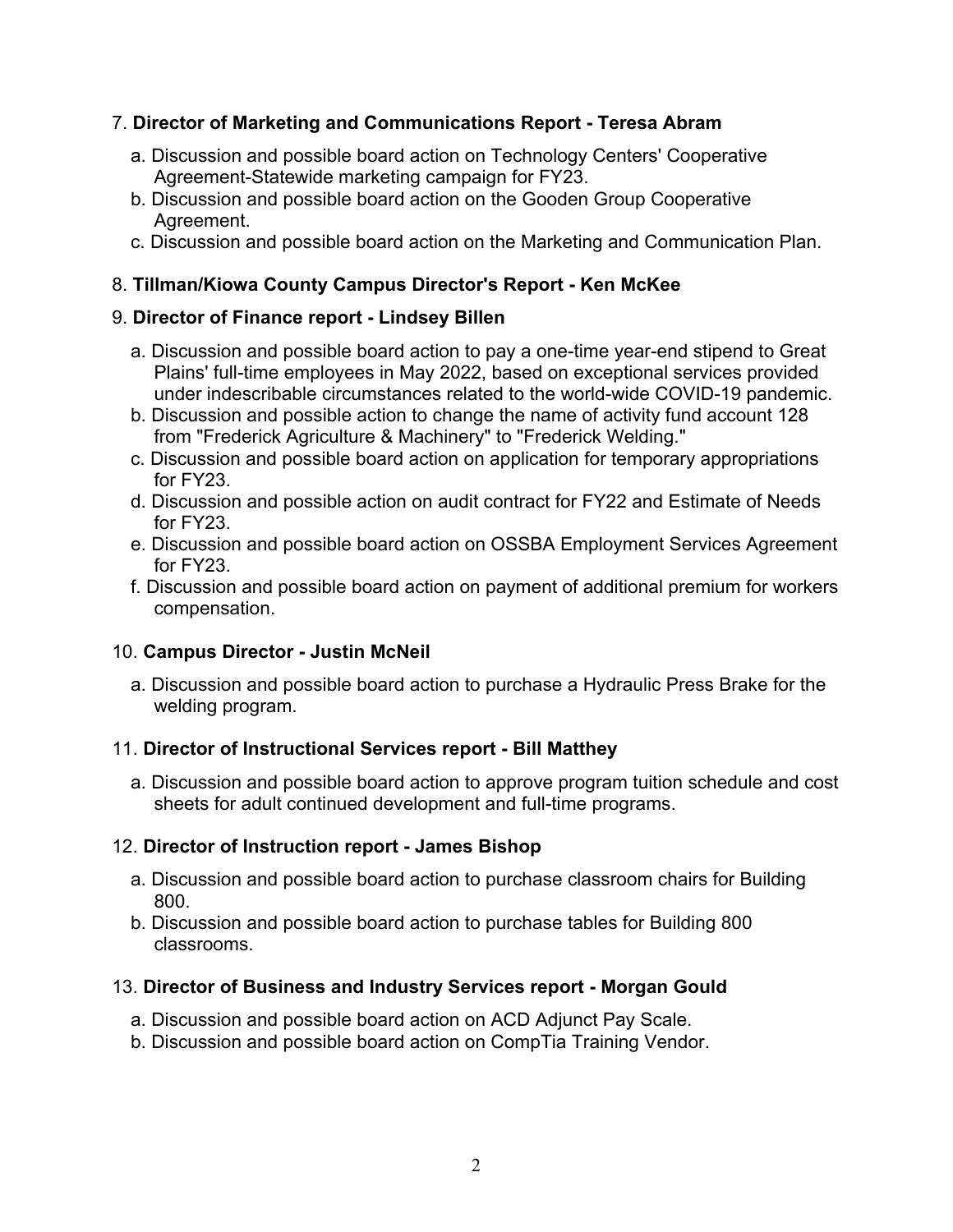## 7. **Director of Marketing and Communications Report - Teresa Abram**

- a. Discussion and possible board action on Technology Centers' Cooperative Agreement-Statewide marketing campaign for FY23.
- b. Discussion and possible board action on the Gooden Group Cooperative Agreement.
- c. Discussion and possible board action on the Marketing and Communication Plan.

## 8. **Tillman/Kiowa County Campus Director's Report - Ken McKee**

### 9. **Director of Finance report - Lindsey Billen**

- a. Discussion and possible board action to pay a one-time year-end stipend to Great Plains' full-time employees in May 2022, based on exceptional services provided under indescribable circumstances related to the world-wide COVID-19 pandemic.
- b. Discussion and possible action to change the name of activity fund account 128 from "Frederick Agriculture & Machinery" to "Frederick Welding."
- c. Discussion and possible board action on application for temporary appropriations for FY23.
- d. Discussion and possible action on audit contract for FY22 and Estimate of Needs for FY23.
- e. Discussion and possible board action on OSSBA Employment Services Agreement for FY23.
- f. Discussion and possible board action on payment of additional premium for workers compensation.

# 10. **Campus Director - Justin McNeil**

a. Discussion and possible board action to purchase a Hydraulic Press Brake for the welding program.

# 11. **Director of Instructional Services report - Bill Matthey**

a. Discussion and possible board action to approve program tuition schedule and cost sheets for adult continued development and full-time programs.

# 12. **Director of Instruction report - James Bishop**

- a. Discussion and possible board action to purchase classroom chairs for Building 800.
- b. Discussion and possible board action to purchase tables for Building 800 classrooms.

# 13. **Director of Business and Industry Services report - Morgan Gould**

- a. Discussion and possible board action on ACD Adjunct Pay Scale.
- b. Discussion and possible board action on CompTia Training Vendor.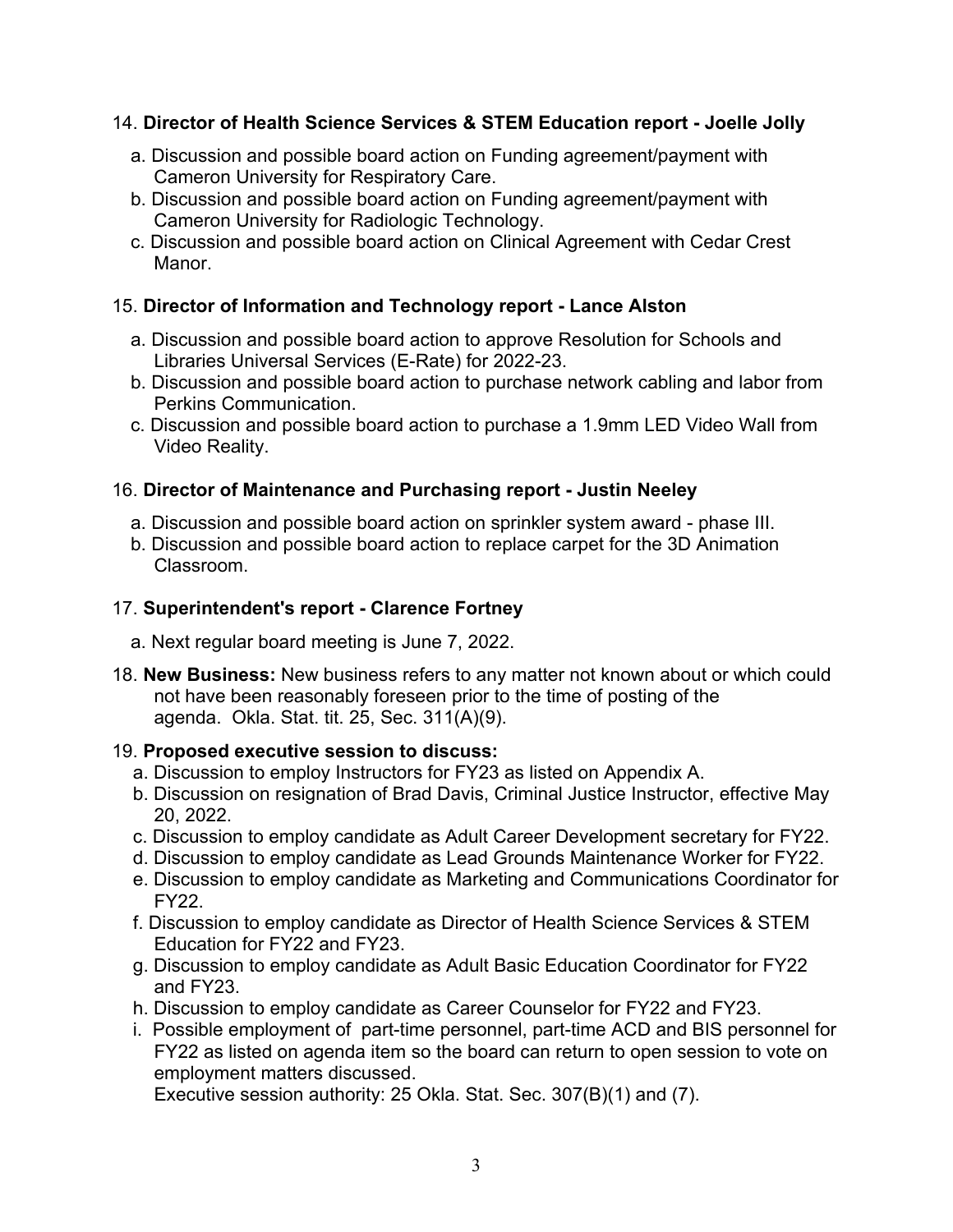# 14. **Director of Health Science Services & STEM Education report - Joelle Jolly**

- a. Discussion and possible board action on Funding agreement/payment with Cameron University for Respiratory Care.
- b. Discussion and possible board action on Funding agreement/payment with Cameron University for Radiologic Technology.
- c. Discussion and possible board action on Clinical Agreement with Cedar Crest Manor.

## 15. **Director of Information and Technology report - Lance Alston**

- a. Discussion and possible board action to approve Resolution for Schools and Libraries Universal Services (E-Rate) for 2022-23.
- b. Discussion and possible board action to purchase network cabling and labor from Perkins Communication.
- c. Discussion and possible board action to purchase a 1.9mm LED Video Wall from Video Reality.

### 16. **Director of Maintenance and Purchasing report - Justin Neeley**

- a. Discussion and possible board action on sprinkler system award phase III.
- b. Discussion and possible board action to replace carpet for the 3D Animation Classroom.

## 17. **Superintendent's report - Clarence Fortney**

- a. Next regular board meeting is June 7, 2022.
- 18. **New Business:** New business refers to any matter not known about or which could not have been reasonably foreseen prior to the time of posting of the agenda. Okla. Stat. tit. 25, Sec. 311(A)(9).

### 19. **Proposed executive session to discuss:**

- a. Discussion to employ Instructors for FY23 as listed on Appendix A.
- b. Discussion on resignation of Brad Davis, Criminal Justice Instructor, effective May 20, 2022.
- c. Discussion to employ candidate as Adult Career Development secretary for FY22.
- d. Discussion to employ candidate as Lead Grounds Maintenance Worker for FY22.
- e. Discussion to employ candidate as Marketing and Communications Coordinator for FY22.
- f. Discussion to employ candidate as Director of Health Science Services & STEM Education for FY22 and FY23.
- g. Discussion to employ candidate as Adult Basic Education Coordinator for FY22 and FY23.
- h. Discussion to employ candidate as Career Counselor for FY22 and FY23.
- i. Possible employment of part-time personnel, part-time ACD and BIS personnel for FY22 as listed on agenda item so the board can return to open session to vote on employment matters discussed.

Executive session authority: 25 Okla. Stat. Sec. 307(B)(1) and (7).